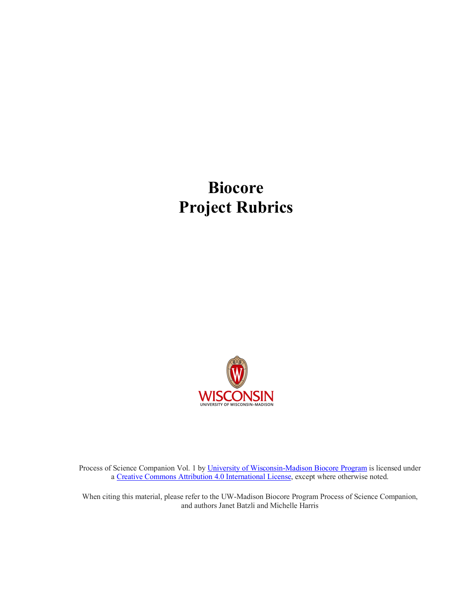# **Biocore Project Rubrics**



Process of Science Companion Vol. 1 by University of Wisconsin-Madison Biocore Program is licensed under a Creative Commons Attribution 4.0 International License, except where otherwise noted.

When citing this material, please refer to the UW-Madison Biocore Program Process of Science Companion, and authors Janet Batzli and Michelle Harris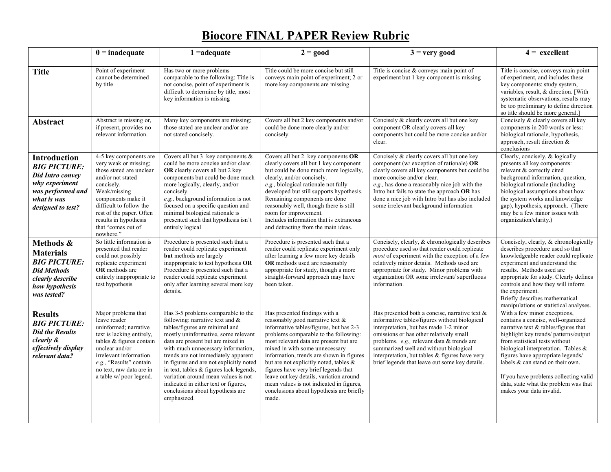# **Biocore FINAL PAPER Review Rubric**

|                                                                                                                                           | $0 =$ inadequate                                                                                                                                                                                                                                                        | $1 = adequate$                                                                                                                                                                                                                                                                                                                                                                                                                                                                              | $2 = good$                                                                                                                                                                                                                                                                                                                                                                                                                                                                                                     | $3 =$ very good                                                                                                                                                                                                                                                                                                                                                                     | $4 = \text{excellent}$                                                                                                                                                                                                                                                                                                                                                                                                 |
|-------------------------------------------------------------------------------------------------------------------------------------------|-------------------------------------------------------------------------------------------------------------------------------------------------------------------------------------------------------------------------------------------------------------------------|---------------------------------------------------------------------------------------------------------------------------------------------------------------------------------------------------------------------------------------------------------------------------------------------------------------------------------------------------------------------------------------------------------------------------------------------------------------------------------------------|----------------------------------------------------------------------------------------------------------------------------------------------------------------------------------------------------------------------------------------------------------------------------------------------------------------------------------------------------------------------------------------------------------------------------------------------------------------------------------------------------------------|-------------------------------------------------------------------------------------------------------------------------------------------------------------------------------------------------------------------------------------------------------------------------------------------------------------------------------------------------------------------------------------|------------------------------------------------------------------------------------------------------------------------------------------------------------------------------------------------------------------------------------------------------------------------------------------------------------------------------------------------------------------------------------------------------------------------|
| <b>Title</b>                                                                                                                              | Point of experiment<br>cannot be determined<br>by title                                                                                                                                                                                                                 | Has two or more problems<br>comparable to the following: Title is<br>not concise, point of experiment is<br>difficult to determine by title, most<br>key information is missing                                                                                                                                                                                                                                                                                                             | Title could be more concise but still<br>conveys main point of experiment; 2 or<br>more key components are missing                                                                                                                                                                                                                                                                                                                                                                                             | Title is concise $&$ conveys main point of<br>experiment but 1 key component is missing                                                                                                                                                                                                                                                                                             | Title is concise, conveys main point<br>of experiment, and includes these<br>key components: study system,<br>variables, result, & direction. [With<br>systematic observations, results may<br>be too preliminary to define direction<br>so title should be more general.]                                                                                                                                             |
| <b>Abstract</b>                                                                                                                           | Abstract is missing or,<br>if present, provides no<br>relevant information.                                                                                                                                                                                             | Many key components are missing;<br>those stated are unclear and/or are<br>not stated concisely.                                                                                                                                                                                                                                                                                                                                                                                            | Covers all but 2 key components and/or<br>could be done more clearly and/or<br>concisely.                                                                                                                                                                                                                                                                                                                                                                                                                      | Concisely & clearly covers all but one key<br>component OR clearly covers all key<br>components but could be more concise and/or<br>clear.                                                                                                                                                                                                                                          | Concisely & clearly covers all key<br>components in 200 words or less:<br>biological rationale, hypothesis,<br>approach, result direction &<br>conclusions                                                                                                                                                                                                                                                             |
| Introduction<br><b>BIG PICTURE:</b><br><b>Did Intro convey</b><br>why experiment<br>was performed and<br>what is was<br>designed to test? | 4-5 key components are<br>very weak or missing;<br>those stated are unclear<br>and/or not stated<br>concisely.<br>Weak/missing<br>components make it<br>difficult to follow the<br>rest of the paper. Often<br>results in hypothesis<br>that "comes out of<br>nowhere." | Covers all but 3 key components $\&$<br>could be more concise and/or clear.<br>OR clearly covers all but 2 key<br>components but could be done much<br>more logically, clearly, and/or<br>concisely.<br>e.g., background information is not<br>focused on a specific question and<br>minimal biological rationale is<br>presented such that hypothesis isn't<br>entirely logical                                                                                                            | Covers all but 2 key components OR<br>clearly covers all but 1 key component<br>but could be done much more logically,<br>clearly, and/or concisely.<br>e.g., biological rationale not fully<br>developed but still supports hypothesis.<br>Remaining components are done<br>reasonably well, though there is still<br>room for improvement.<br>Includes information that is extraneous<br>and detracting from the main ideas.                                                                                 | Concisely & clearly covers all but one key<br>component (w/ exception of rationale) $OR$<br>clearly covers all key components but could be<br>more concise and/or clear.<br>e.g., has done a reasonably nice job with the<br>Intro but fails to state the approach OR has<br>done a nice job with Intro but has also included<br>some irrelevant background information             | Clearly, concisely, & logically<br>presents all key components:<br>relevant & correctly cited<br>background information, question,<br>biological rationale (including<br>biological assumptions about how<br>the system works and knowledge<br>gap), hypothesis, approach. (There<br>may be a few minor issues with<br>organization/clarity.)                                                                          |
| Methods &<br><b>Materials</b><br><b>BIG PICTURE:</b><br><b>Did Methods</b><br>clearly describe<br>how hypothesis<br>was tested?           | So little information is<br>presented that reader<br>could not possibly<br>replicate experiment<br>OR methods are<br>entirely inappropriate to<br>test hypothesis                                                                                                       | Procedure is presented such that a<br>reader could replicate experiment<br>but methods are largely<br>inappropriate to test hypothesis OR<br>Procedure is presented such that a<br>reader could replicate experiment<br>only after learning several more key<br>details.                                                                                                                                                                                                                    | Procedure is presented such that a<br>reader could replicate experiment only<br>after learning a few more key details<br>OR methods used are reasonably<br>appropriate for study, though a more<br>straight-forward approach may have<br>been taken.                                                                                                                                                                                                                                                           | Concisely, clearly, & chronologically describes<br>procedure used so that reader could replicate<br><i>most</i> of experiment with the exception of a few<br>relatively minor details. Methods used are<br>appropriate for study. Minor problems with<br>organization OR some irrelevant/superfluous<br>information.                                                                | Concisely, clearly, & chronologically<br>describes procedure used so that<br>knowledgeable reader could replicate<br>experiment and understand the<br>results. Methods used are<br>appropriate for study. Clearly defines<br>controls and how they will inform<br>the experiment.<br>Briefly describes mathematical<br>manipulations or statistical analyses.                                                          |
| <b>Results</b><br><b>BIG PICTURE:</b><br><b>Did the Results</b><br>clearly &<br>effectively display<br>relevant data?                     | Major problems that<br>leave reader<br>uninformed; narrative<br>text is lacking entirely,<br>tables & figures contain<br>unclear and/or<br>irrelevant information.<br>e.g., "Results" contain<br>no text, raw data are in<br>a table w/poor legend.                     | Has 3-5 problems comparable to the<br>following: narrative text and $\&$<br>tables/figures are minimal and<br>mostly uninformative, some relevant<br>data are present but are mixed in<br>with much unnecessary information,<br>trends are not immediately apparent<br>in figures and are not explicitly noted<br>in text, tables & figures lack legends,<br>variation around mean values is not<br>indicated in either text or figures,<br>conclusions about hypothesis are<br>emphasized. | Has presented findings with a<br>reasonably good narrative text &<br>informative tables/figures, but has 2-3<br>problems comparable to the following:<br>most relevant data are present but are<br>mixed in with some unnecessary<br>information, trends are shown in figures<br>but are not explicitly noted, tables $\&$<br>figures have very brief legends that<br>leave out key details, variation around<br>mean values is not indicated in figures,<br>conclusions about hypothesis are briefly<br>made. | Has presented both a concise, narrative text $\&$<br>informative tables/figures without biological<br>interpretation, but has made 1-2 minor<br>omissions or has other relatively small<br>problems. e.g., relevant data & trends are<br>summarized well and without biological<br>interpretation, but tables & figures have very<br>brief legends that leave out some key details. | With a few minor exceptions,<br>contains a concise, well-organized<br>narrative text & tables/figures that<br>highlight key trends/ patterns/output<br>from statistical tests without<br>biological interpretation. Tables $\&$<br>figures have appropriate legends/<br>labels & can stand on their own.<br>If you have problems collecting valid<br>data, state what the problem was that<br>makes your data invalid. |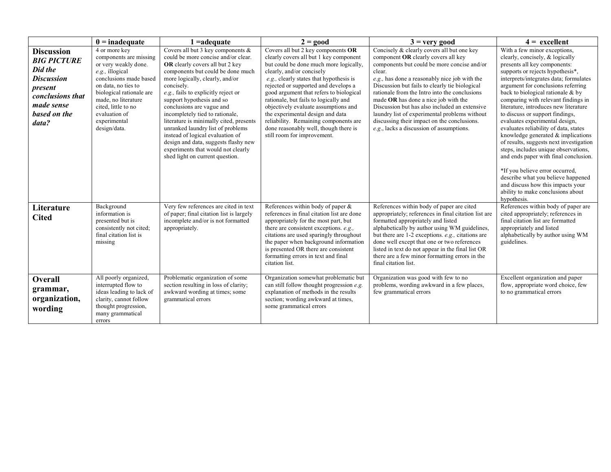|                                                                                                                                               | $0 =$ inadequate                                                                                                                                                                                                                                                 | $1 = adequate$                                                                                                                                                                                                                                                                                                                                                                                                                                                                                                                                                             | $2 = good$                                                                                                                                                                                                                                                                                                                                                                                                                                                                                                              | $3 =$ very good                                                                                                                                                                                                                                                                                                                                                                                                                                                                                                                     | $4 =$ excellent                                                                                                                                                                                                                                                                                                                                                                                                                                                                                                                                                                                                                                                                                                                                                               |
|-----------------------------------------------------------------------------------------------------------------------------------------------|------------------------------------------------------------------------------------------------------------------------------------------------------------------------------------------------------------------------------------------------------------------|----------------------------------------------------------------------------------------------------------------------------------------------------------------------------------------------------------------------------------------------------------------------------------------------------------------------------------------------------------------------------------------------------------------------------------------------------------------------------------------------------------------------------------------------------------------------------|-------------------------------------------------------------------------------------------------------------------------------------------------------------------------------------------------------------------------------------------------------------------------------------------------------------------------------------------------------------------------------------------------------------------------------------------------------------------------------------------------------------------------|-------------------------------------------------------------------------------------------------------------------------------------------------------------------------------------------------------------------------------------------------------------------------------------------------------------------------------------------------------------------------------------------------------------------------------------------------------------------------------------------------------------------------------------|-------------------------------------------------------------------------------------------------------------------------------------------------------------------------------------------------------------------------------------------------------------------------------------------------------------------------------------------------------------------------------------------------------------------------------------------------------------------------------------------------------------------------------------------------------------------------------------------------------------------------------------------------------------------------------------------------------------------------------------------------------------------------------|
| <b>Discussion</b><br><b>BIG PICTURE</b><br>Did the<br><b>Discussion</b><br>present<br>conclusions that<br>made sense<br>based on the<br>data? | 4 or more key<br>components are missing<br>or very weakly done.<br>$e.g.,$ illogical<br>conclusions made based<br>on data, no ties to<br>biological rationale are<br>made, no literature<br>cited, little to no<br>evaluation of<br>experimental<br>design/data. | Covers all but 3 key components &<br>could be more concise and/or clear.<br>OR clearly covers all but 2 key<br>components but could be done much<br>more logically, clearly, and/or<br>concisely.<br>e.g., fails to explicitly reject or<br>support hypothesis and so<br>conclusions are vague and<br>incompletely tied to rationale,<br>literature is minimally cited, presents<br>unranked laundry list of problems<br>instead of logical evaluation of<br>design and data, suggests flashy new<br>experiments that would not clearly<br>shed light on current question. | Covers all but 2 key components OR<br>clearly covers all but 1 key component<br>but could be done much more logically,<br>clearly, and/or concisely<br>e.g., clearly states that hypothesis is<br>rejected or supported and develops a<br>good argument that refers to biological<br>rationale, but fails to logically and<br>objectively evaluate assumptions and<br>the experimental design and data<br>reliability. Remaining components are<br>done reasonably well, though there is<br>still room for improvement. | Concisely & clearly covers all but one key<br>component OR clearly covers all key<br>components but could be more concise and/or<br>clear.<br>e.g., has done a reasonably nice job with the<br>Discussion but fails to clearly tie biological<br>rationale from the Intro into the conclusions<br>made OR has done a nice job with the<br>Discussion but has also included an extensive<br>laundry list of experimental problems without<br>discussing their impact on the conclusions.<br>e.g., lacks a discussion of assumptions. | With a few minor exceptions,<br>clearly, concisely, & logically<br>presents all key components:<br>supports or rejects hypothesis*,<br>interprets/integrates data; formulates<br>argument for conclusions referring<br>back to biological rationale & by<br>comparing with relevant findings in<br>literature, introduces new literature<br>to discuss or support findings,<br>evaluates experimental design,<br>evaluates reliability of data, states<br>knowledge generated $&$ implications<br>of results, suggests next investigation<br>steps, includes unique observations,<br>and ends paper with final conclusion.<br>*If you believe error occurred,<br>describe what you believe happened<br>and discuss how this impacts your<br>ability to make conclusions about |
| Literature<br><b>Cited</b>                                                                                                                    | Background<br>information is<br>presented but is<br>consistently not cited;<br>final citation list is<br>missing                                                                                                                                                 | Very few references are cited in text<br>of paper; final citation list is largely<br>incomplete and/or is not formatted<br>appropriately.                                                                                                                                                                                                                                                                                                                                                                                                                                  | References within body of paper $\&$<br>references in final citation list are done<br>appropriately for the most part, but<br>there are consistent exceptions. e.g.,<br>citations are used sparingly throughout<br>the paper when background information<br>is presented OR there are consistent<br>formatting errors in text and final<br>citation list.                                                                                                                                                               | References within body of paper are cited<br>appropriately; references in final citation list are<br>formatted appropriately and listed<br>alphabetically by author using WM guidelines,<br>but there are $1-2$ exceptions. e.g., citations are<br>done well except that one or two references<br>listed in text do not appear in the final list OR<br>there are a few minor formatting errors in the<br>final citation list.                                                                                                       | hypothesis.<br>References within body of paper are<br>cited appropriately; references in<br>final citation list are formatted<br>appropriately and listed<br>alphabetically by author using WM<br>guidelines.                                                                                                                                                                                                                                                                                                                                                                                                                                                                                                                                                                 |
| Overall<br>grammar,<br>organization,<br>wording                                                                                               | All poorly organized,<br>interrupted flow to<br>ideas leading to lack of<br>clarity, cannot follow<br>thought progression,<br>many grammatical<br>errors                                                                                                         | Problematic organization of some<br>section resulting in loss of clarity;<br>awkward wording at times; some<br>grammatical errors                                                                                                                                                                                                                                                                                                                                                                                                                                          | Organization somewhat problematic but<br>can still follow thought progression e.g.<br>explanation of methods in the results<br>section; wording awkward at times,<br>some grammatical errors                                                                                                                                                                                                                                                                                                                            | Organization was good with few to no<br>problems, wording awkward in a few places,<br>few grammatical errors                                                                                                                                                                                                                                                                                                                                                                                                                        | Excellent organization and paper<br>flow, appropriate word choice, few<br>to no grammatical errors                                                                                                                                                                                                                                                                                                                                                                                                                                                                                                                                                                                                                                                                            |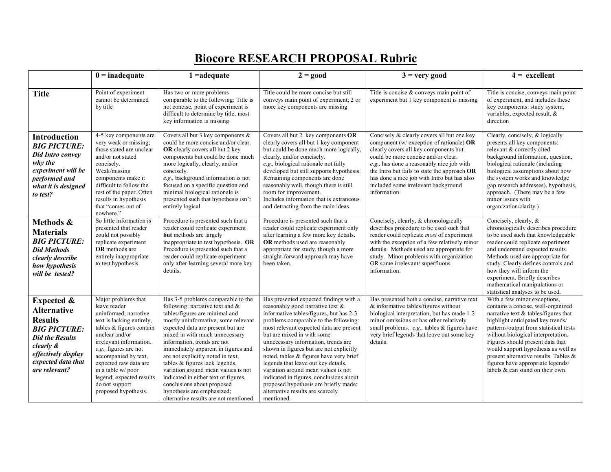## **Biocore RESEARCH PROPOSAL Rubric**

|                                                                                                                                                                                                     | $0 =$ inadequate                                                                                                                                                                                                                                                                                                                          | $1 =$ adequate                                                                                                                                                                                                                                                                                                                                                                                                                                                                                                                                               | $2 = good$                                                                                                                                                                                                                                                                                                                                                                                                                                                                                                                                                                                  | $3 =$ very good                                                                                                                                                                                                                                                                                                                                                            | $4 =$ excellent                                                                                                                                                                                                                                                                                                                                                                                                                 |
|-----------------------------------------------------------------------------------------------------------------------------------------------------------------------------------------------------|-------------------------------------------------------------------------------------------------------------------------------------------------------------------------------------------------------------------------------------------------------------------------------------------------------------------------------------------|--------------------------------------------------------------------------------------------------------------------------------------------------------------------------------------------------------------------------------------------------------------------------------------------------------------------------------------------------------------------------------------------------------------------------------------------------------------------------------------------------------------------------------------------------------------|---------------------------------------------------------------------------------------------------------------------------------------------------------------------------------------------------------------------------------------------------------------------------------------------------------------------------------------------------------------------------------------------------------------------------------------------------------------------------------------------------------------------------------------------------------------------------------------------|----------------------------------------------------------------------------------------------------------------------------------------------------------------------------------------------------------------------------------------------------------------------------------------------------------------------------------------------------------------------------|---------------------------------------------------------------------------------------------------------------------------------------------------------------------------------------------------------------------------------------------------------------------------------------------------------------------------------------------------------------------------------------------------------------------------------|
| <b>Title</b>                                                                                                                                                                                        | Point of experiment<br>cannot be determined<br>by title                                                                                                                                                                                                                                                                                   | Has two or more problems<br>comparable to the following: Title is<br>not concise, point of experiment is<br>difficult to determine by title, most<br>key information is missing                                                                                                                                                                                                                                                                                                                                                                              | Title could be more concise but still<br>conveys main point of experiment; 2 or<br>more key components are missing                                                                                                                                                                                                                                                                                                                                                                                                                                                                          | Title is concise $&$ conveys main point of<br>experiment but 1 key component is missing                                                                                                                                                                                                                                                                                    | Title is concise, conveys main point<br>of experiment, and includes these<br>key components: study system,<br>variables, expected result, &<br>direction                                                                                                                                                                                                                                                                        |
| <b>Introduction</b><br><b>BIG PICTURE:</b><br><b>Did Intro convey</b><br>why the<br>experiment will be<br>performed and<br>what it is designed<br>to test?                                          | 4-5 key components are<br>very weak or missing;<br>those stated are unclear<br>and/or not stated<br>concisely.<br>Weak/missing<br>components make it<br>difficult to follow the<br>rest of the paper. Often<br>results in hypothesis<br>that "comes out of<br>nowhere."                                                                   | Covers all but 3 key components $\&$<br>could be more concise and/or clear.<br>OR clearly covers all but 2 key<br>components but could be done much<br>more logically, clearly, and/or<br>concisely.<br>e.g., background information is not<br>focused on a specific question and<br>minimal biological rationale is<br>presented such that hypothesis isn't<br>entirely logical                                                                                                                                                                             | Covers all but 2 key components OR<br>clearly covers all but 1 key component<br>but could be done much more logically,<br>clearly, and/or concisely.<br>e.g., biological rationale not fully<br>developed but still supports hypothesis.<br>Remaining components are done<br>reasonably well, though there is still<br>room for improvement.<br>Includes information that is extraneous<br>and detracting from the main ideas.                                                                                                                                                              | Concisely & clearly covers all but one key<br>component (w/ exception of rationale) $OR$<br>clearly covers all key components but<br>could be more concise and/or clear.<br>e.g., has done a reasonably nice job with<br>the Intro but fails to state the approach OR<br>has done a nice job with Intro but has also<br>included some irrelevant background<br>information | Clearly, concisely, & logically<br>presents all key components:<br>relevant & correctly cited<br>background information, question,<br>biological rationale (including<br>biological assumptions about how<br>the system works and knowledge<br>gap research addresses), hypothesis,<br>approach. (There may be a few<br>minor issues with<br>organization/clarity.)                                                             |
| Methods &<br><b>Materials</b><br><b>BIG PICTURE:</b><br><b>Did Methods</b><br>clearly describe<br>how hypothesis<br>will be tested?                                                                 | So little information is<br>presented that reader<br>could not possibly<br>replicate experiment<br><b>OR</b> methods are<br>entirely inappropriate<br>to test hypothesis                                                                                                                                                                  | Procedure is presented such that a<br>reader could replicate experiment<br>but methods are largely<br>inappropriate to test hypothesis. OR<br>Procedure is presented such that a<br>reader could replicate experiment<br>only after learning several more key<br>details.                                                                                                                                                                                                                                                                                    | Procedure is presented such that a<br>reader could replicate experiment only<br>after learning a few more key details.<br>OR methods used are reasonably<br>appropriate for study, though a more<br>straight-forward approach may have<br>been taken.                                                                                                                                                                                                                                                                                                                                       | Concisely, clearly, & chronologically<br>describes procedure to be used such that<br>reader could replicate most of experiment<br>with the exception of a few relatively minor<br>details. Methods used are appropriate for<br>study. Minor problems with organization<br>OR some irrelevant/superfluous<br>information.                                                   | Concisely, clearly, &<br>chronologically describes procedure<br>to be used such that knowledgeable<br>reader could replicate experiment<br>and understand expected results.<br>Methods used are appropriate for<br>study. Clearly defines controls and<br>how they will inform the<br>experiment. Briefly describes<br>mathematical manipulations or<br>statistical analyses to be used.                                        |
| <b>Expected &amp;</b><br><b>Alternative</b><br><b>Results</b><br><b>BIG PICTURE:</b><br><b>Did the Results</b><br><i>clearly</i> $\&$<br>effectively display<br>expected data that<br>are relevant? | Major problems that<br>leave reader<br>uninformed; narrative<br>text is lacking entirely,<br>tables & figures contain<br>unclear and/or<br>irrelevant information.<br>$e.g.,$ figures are not<br>accompanied by text,<br>expected raw data are<br>in a table w/poor<br>legend; expected results<br>do not support<br>proposed hypothesis. | Has 3-5 problems comparable to the<br>following: narrative text and $\&$<br>tables/figures are minimal and<br>mostly uninformative, some relevant<br>expected data are present but are<br>mixed in with much unnecessary<br>information, trends are not<br>immediately apparent in figures and<br>are not explicitly noted in text,<br>tables $&$ figures lack legends,<br>variation around mean values is not<br>indicated in either text or figures.<br>conclusions about proposed<br>hypothesis are emphasized;<br>alternative results are not mentioned. | Has presented expected findings with a<br>reasonably good narrative text $\&$<br>informative tables/figures, but has 2-3<br>problems comparable to the following:<br>most relevant expected data are present<br>but are mixed in with some<br>unnecessary information, trends are<br>shown in figures but are not explicitly<br>noted, tables & figures have very brief<br>legends that leave out key details,<br>variation around mean values is not<br>indicated in figures, conclusions about<br>proposed hypothesis are briefly made;<br>alternative results are scarcely<br>mentioned. | Has presented both a concise, narrative text<br>$&$ informative tables/figures without<br>biological interpretation, but has made 1-2<br>minor omissions or has other relatively<br>small problems. e.g., tables & figures have<br>very brief legends that leave out some key<br>details.                                                                                  | With a few minor exceptions,<br>contains a concise, well-organized<br>narrative text & tables/figures that<br>highlight anticipated key trends/<br>patterns/output from statistical tests<br>without biological interpretation.<br>Figures should present data that<br>would support hypothesis as well as<br>present alternative results. Tables &<br>figures have appropriate legends/<br>labels $\&$ can stand on their own. |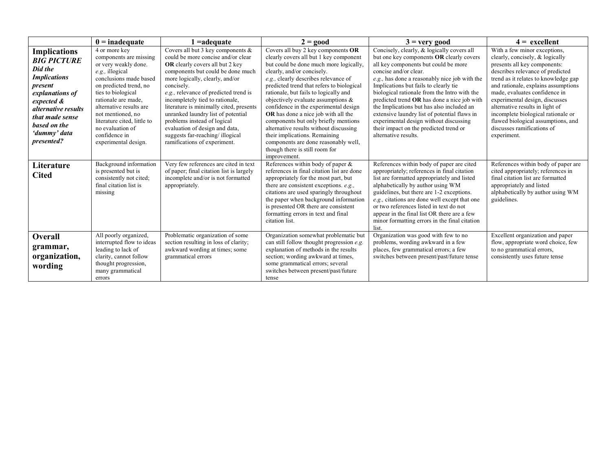|                                                                                                                                                                                                                        | $0 =$ inadequate                                                                                                                                                                                                                                                                                                                | 1 =adequate                                                                                                                                                                                                                                                                                                                                                                                                                                                                                          | $2 = good$                                                                                                                                                                                                                                                                                                                                                                                                                                                                                                                                                                                                      | $3 =$ very good                                                                                                                                                                                                                                                                                                                                                                                                                                                                                                                                           | $4 = \text{excellent}$                                                                                                                                                                                                                                                                                                                                                                                                                            |
|------------------------------------------------------------------------------------------------------------------------------------------------------------------------------------------------------------------------|---------------------------------------------------------------------------------------------------------------------------------------------------------------------------------------------------------------------------------------------------------------------------------------------------------------------------------|------------------------------------------------------------------------------------------------------------------------------------------------------------------------------------------------------------------------------------------------------------------------------------------------------------------------------------------------------------------------------------------------------------------------------------------------------------------------------------------------------|-----------------------------------------------------------------------------------------------------------------------------------------------------------------------------------------------------------------------------------------------------------------------------------------------------------------------------------------------------------------------------------------------------------------------------------------------------------------------------------------------------------------------------------------------------------------------------------------------------------------|-----------------------------------------------------------------------------------------------------------------------------------------------------------------------------------------------------------------------------------------------------------------------------------------------------------------------------------------------------------------------------------------------------------------------------------------------------------------------------------------------------------------------------------------------------------|---------------------------------------------------------------------------------------------------------------------------------------------------------------------------------------------------------------------------------------------------------------------------------------------------------------------------------------------------------------------------------------------------------------------------------------------------|
| <b>Implications</b><br><b>BIG PICTURE</b><br>Did the<br><b>Implications</b><br>present<br>explanations of<br>expected &<br><i>alternative results</i><br>that made sense<br>based on the<br>'dummy' data<br>presented? | 4 or more key<br>components are missing<br>or very weakly done.<br>e.g., illogical<br>conclusions made based<br>on predicted trend, no<br>ties to biological<br>rationale are made.<br>alternative results are<br>not mentioned, no<br>literature cited, little to<br>no evaluation of<br>confidence in<br>experimental design. | Covers all but 3 key components $\&$<br>could be more concise and/or clear<br>OR clearly covers all but 2 key<br>components but could be done much<br>more logically, clearly, and/or<br>concisely.<br>e.g., relevance of predicted trend is<br>incompletely tied to rationale,<br>literature is minimally cited, presents<br>unranked laundry list of potential<br>problems instead of logical<br>evaluation of design and data,<br>suggests far-reaching/illogical<br>ramifications of experiment. | Covers all buy 2 key components OR<br>clearly covers all but 1 key component<br>but could be done much more logically,<br>clearly, and/or concisely.<br>e.g., clearly describes relevance of<br>predicted trend that refers to biological<br>rationale, but fails to logically and<br>objectively evaluate assumptions $\&$<br>confidence in the experimental design<br><b>OR</b> has done a nice job with all the<br>components but only briefly mentions<br>alternative results without discussing<br>their implications. Remaining<br>components are done reasonably well,<br>though there is still room for | Concisely, clearly, & logically covers all<br>but one key components OR clearly covers<br>all key components but could be more<br>concise and/or clear.<br>e.g., has done a reasonably nice job with the<br>Implications but fails to clearly tie<br>biological rationale from the Intro with the<br>predicted trend OR has done a nice job with<br>the Implications but has also included an<br>extensive laundry list of potential flaws in<br>experimental design without discussing<br>their impact on the predicted trend or<br>alternative results. | With a few minor exceptions,<br>clearly, concisely, & logically<br>presents all key components:<br>describes relevance of predicted<br>trend as it relates to knowledge gap<br>and rationale, explains assumptions<br>made, evaluates confidence in<br>experimental design, discusses<br>alternative results in light of<br>incomplete biological rationale or<br>flawed biological assumptions, and<br>discusses ramifications of<br>experiment. |
| Literature<br><b>Cited</b>                                                                                                                                                                                             | Background information<br>is presented but is<br>consistently not cited;<br>final citation list is<br>missing                                                                                                                                                                                                                   | Very few references are cited in text<br>of paper; final citation list is largely<br>incomplete and/or is not formatted<br>appropriately.                                                                                                                                                                                                                                                                                                                                                            | improvement.<br>References within body of paper $\&$<br>references in final citation list are done<br>appropriately for the most part, but<br>there are consistent exceptions. e.g.,<br>citations are used sparingly throughout<br>the paper when background information<br>is presented OR there are consistent<br>formatting errors in text and final<br>citation list.                                                                                                                                                                                                                                       | References within body of paper are cited<br>appropriately; references in final citation<br>list are formatted appropriately and listed<br>alphabetically by author using WM<br>guidelines, but there are 1-2 exceptions.<br>e.g., citations are done well except that one<br>or two references listed in text do not<br>appear in the final list OR there are a few<br>minor formatting errors in the final citation<br>list.                                                                                                                            | References within body of paper are<br>cited appropriately; references in<br>final citation list are formatted<br>appropriately and listed<br>alphabetically by author using WM<br>guidelines.                                                                                                                                                                                                                                                    |
| Overall<br>grammar,<br>organization,<br>wording                                                                                                                                                                        | All poorly organized,<br>interrupted flow to ideas<br>leading to lack of<br>clarity, cannot follow<br>thought progression,<br>many grammatical<br>errors                                                                                                                                                                        | Problematic organization of some<br>section resulting in loss of clarity;<br>awkward wording at times; some<br>grammatical errors                                                                                                                                                                                                                                                                                                                                                                    | Organization somewhat problematic but<br>can still follow thought progression e.g.<br>explanation of methods in the results<br>section; wording awkward at times,<br>some grammatical errors; several<br>switches between present/past/future<br>tense                                                                                                                                                                                                                                                                                                                                                          | Organization was good with few to no<br>problems, wording awkward in a few<br>places, few grammatical errors; a few<br>switches between present/past/future tense                                                                                                                                                                                                                                                                                                                                                                                         | Excellent organization and paper<br>flow, appropriate word choice, few<br>to no grammatical errors,<br>consistently uses future tense                                                                                                                                                                                                                                                                                                             |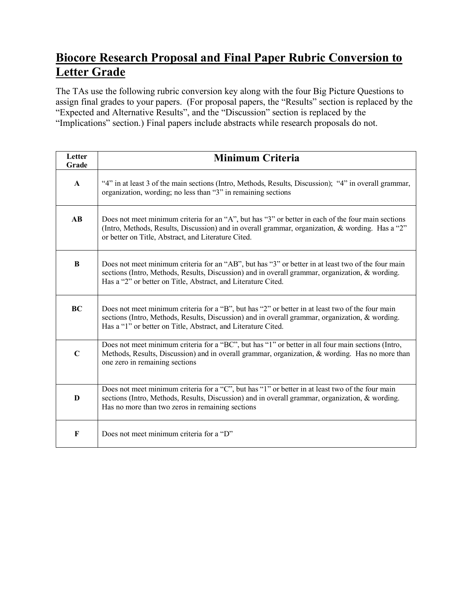#### **Biocore Research Proposal and Final Paper Rubric Conversion to Letter Grade**

The TAs use the following rubric conversion key along with the four Big Picture Questions to assign final grades to your papers. (For proposal papers, the "Results" section is replaced by the "Expected and Alternative Results", and the "Discussion" section is replaced by the "Implications" section.) Final papers include abstracts while research proposals do not.

| Letter<br>Grade        | <b>Minimum Criteria</b>                                                                                                                                                                                                                                                |
|------------------------|------------------------------------------------------------------------------------------------------------------------------------------------------------------------------------------------------------------------------------------------------------------------|
| $\mathbf{A}$           | "4" in at least 3 of the main sections (Intro, Methods, Results, Discussion); "4" in overall grammar,<br>organization, wording; no less than "3" in remaining sections                                                                                                 |
| $\mathbf{A}\mathbf{B}$ | Does not meet minimum criteria for an "A", but has "3" or better in each of the four main sections<br>(Intro, Methods, Results, Discussion) and in overall grammar, organization, & wording. Has a "2"<br>or better on Title, Abstract, and Literature Cited.          |
| $\, {\bf B}$           | Does not meet minimum criteria for an "AB", but has "3" or better in at least two of the four main<br>sections (Intro, Methods, Results, Discussion) and in overall grammar, organization, & wording.<br>Has a "2" or better on Title, Abstract, and Literature Cited. |
| <b>BC</b>              | Does not meet minimum criteria for a "B", but has "2" or better in at least two of the four main<br>sections (Intro, Methods, Results, Discussion) and in overall grammar, organization, & wording.<br>Has a "1" or better on Title, Abstract, and Literature Cited.   |
| $\mathbf C$            | Does not meet minimum criteria for a "BC", but has "1" or better in all four main sections (Intro,<br>Methods, Results, Discussion) and in overall grammar, organization, & wording. Has no more than<br>one zero in remaining sections                                |
| D                      | Does not meet minimum criteria for a "C", but has "1" or better in at least two of the four main<br>sections (Intro, Methods, Results, Discussion) and in overall grammar, organization, & wording.<br>Has no more than two zeros in remaining sections                |
| F                      | Does not meet minimum criteria for a "D"                                                                                                                                                                                                                               |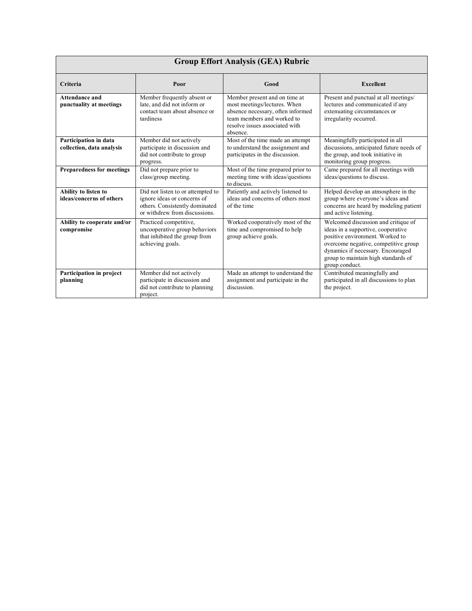|                                                    |                                                                                                                                     | <b>Group Effort Analysis (GEA) Rubric</b>                                                                                                                                      |                                                                                                                                                                                                                                                    |
|----------------------------------------------------|-------------------------------------------------------------------------------------------------------------------------------------|--------------------------------------------------------------------------------------------------------------------------------------------------------------------------------|----------------------------------------------------------------------------------------------------------------------------------------------------------------------------------------------------------------------------------------------------|
| Criteria                                           | Poor                                                                                                                                | Good                                                                                                                                                                           | <b>Excellent</b>                                                                                                                                                                                                                                   |
| <b>Attendance and</b><br>punctuality at meetings   | Member frequently absent or<br>late, and did not inform or<br>contact team about absence or<br>tardiness                            | Member present and on time at<br>most meetings/lectures. When<br>absence necessary, often informed<br>team members and worked to<br>resolve issues associated with<br>absence. | Present and punctual at all meetings/<br>lectures and communicated if any<br>extenuating circumstances or<br>irregularity occurred.                                                                                                                |
| Participation in data<br>collection, data analysis | Member did not actively<br>participate in discussion and<br>did not contribute to group<br>progress.                                | Most of the time made an attempt<br>to understand the assignment and<br>participates in the discussion.                                                                        | Meaningfully participated in all<br>discussions, anticipated future needs of<br>the group, and took initiative in<br>monitoring group progress.                                                                                                    |
| <b>Preparedness for meetings</b>                   | Did not prepare prior to<br>class/group meeting.                                                                                    | Most of the time prepared prior to<br>meeting time with ideas/questions<br>to discuss.                                                                                         | Came prepared for all meetings with<br>ideas/questions to discuss.                                                                                                                                                                                 |
| Ability to listen to<br>ideas/concerns of others   | Did not listen to or attempted to<br>ignore ideas or concerns of<br>others. Consistently dominated<br>or withdrew from discussions. | Patiently and actively listened to<br>ideas and concerns of others most<br>of the time                                                                                         | Helped develop an atmosphere in the<br>group where everyone's ideas and<br>concerns are heard by modeling patient<br>and active listening.                                                                                                         |
| Ability to cooperate and/or<br>compromise          | Practiced competitive,<br>uncooperative group behaviors<br>that inhibited the group from<br>achieving goals.                        | Worked cooperatively most of the<br>time and compromised to help<br>group achieve goals.                                                                                       | Welcomed discussion and critique of<br>ideas in a supportive, cooperative<br>positive environment. Worked to<br>overcome negative, competitive group<br>dynamics if necessary. Encouraged<br>group to maintain high standards of<br>group conduct. |
| Participation in project<br>planning               | Member did not actively<br>participate in discussion and<br>did not contribute to planning<br>project.                              | Made an attempt to understand the<br>assignment and participate in the<br>discussion.                                                                                          | Contributed meaningfully and<br>participated in all discussions to plan<br>the project.                                                                                                                                                            |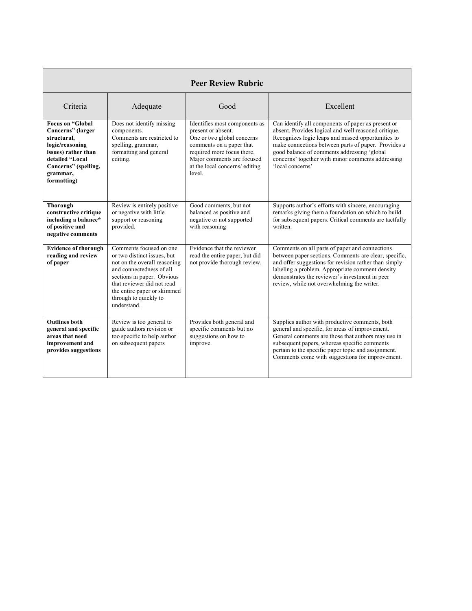|                                                                                                                                                                             |                                                                                                                                                                                                                                                       | <b>Peer Review Rubric</b>                                                                                                                                                                                             |                                                                                                                                                                                                                                                                                                                                                 |
|-----------------------------------------------------------------------------------------------------------------------------------------------------------------------------|-------------------------------------------------------------------------------------------------------------------------------------------------------------------------------------------------------------------------------------------------------|-----------------------------------------------------------------------------------------------------------------------------------------------------------------------------------------------------------------------|-------------------------------------------------------------------------------------------------------------------------------------------------------------------------------------------------------------------------------------------------------------------------------------------------------------------------------------------------|
| Criteria                                                                                                                                                                    | Adequate                                                                                                                                                                                                                                              | Good                                                                                                                                                                                                                  | Excellent                                                                                                                                                                                                                                                                                                                                       |
| <b>Focus on "Global</b><br>Concerns" (larger<br>structural,<br>logic/reasoning<br>issues) rather than<br>detailed "Local<br>Concerns" (spelling,<br>grammar,<br>formatting) | Does not identify missing<br>components.<br>Comments are restricted to<br>spelling, grammar,<br>formatting and general<br>editing.                                                                                                                    | Identifies most components as<br>present or absent.<br>One or two global concerns<br>comments on a paper that<br>required more focus there.<br>Major comments are focused<br>at the local concerns/ editing<br>level. | Can identify all components of paper as present or<br>absent. Provides logical and well reasoned critique.<br>Recognizes logic leaps and missed opportunities to<br>make connections between parts of paper. Provides a<br>good balance of comments addressing 'global<br>concerns' together with minor comments addressing<br>'local concerns' |
| <b>Thorough</b><br>constructive critique<br>including a balance*<br>of positive and<br>negative comments                                                                    | Review is entirely positive<br>or negative with little<br>support or reasoning<br>provided.                                                                                                                                                           | Good comments, but not<br>balanced as positive and<br>negative or not supported<br>with reasoning                                                                                                                     | Supports author's efforts with sincere, encouraging<br>remarks giving them a foundation on which to build<br>for subsequent papers. Critical comments are tactfully<br>written.                                                                                                                                                                 |
| <b>Evidence of thorough</b><br>reading and review<br>of paper                                                                                                               | Comments focused on one<br>or two distinct issues, but<br>not on the overall reasoning<br>and connectedness of all<br>sections in paper. Obvious<br>that reviewer did not read<br>the entire paper or skimmed<br>through to quickly to<br>understand. | Evidence that the reviewer<br>read the entire paper, but did<br>not provide thorough review.                                                                                                                          | Comments on all parts of paper and connections<br>between paper sections. Comments are clear, specific,<br>and offer suggestions for revision rather than simply<br>labeling a problem. Appropriate comment density<br>demonstrates the reviewer's investment in peer<br>review, while not overwhelming the writer.                             |
| <b>Outlines both</b><br>general and specific<br>areas that need<br>improvement and<br>provides suggestions                                                                  | Review is too general to<br>guide authors revision or<br>too specific to help author<br>on subsequent papers                                                                                                                                          | Provides both general and<br>specific comments but no<br>suggestions on how to<br>improve.                                                                                                                            | Supplies author with productive comments, both<br>general and specific, for areas of improvement.<br>General comments are those that authors may use in<br>subsequent papers, whereas specific comments<br>pertain to the specific paper topic and assignment.<br>Comments come with suggestions for improvement.                               |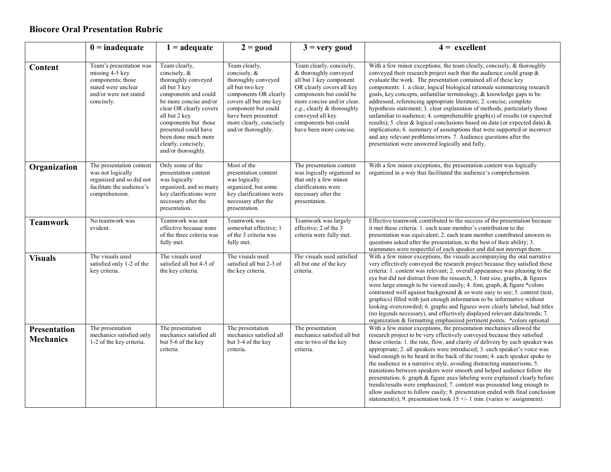#### **Biocore Oral Presentation Rubric**

|                                         | $0 =$ inadequate                                                                                                               | $1 = adequate$                                                                                                                                                                                                                                                                             | $2 = good$                                                                                                                                                                                                                | $3 =$ very good                                                                                                                                                                                                                                                           | $4 =$ excellent                                                                                                                                                                                                                                                                                                                                                                                                                                                                                                                                                                                                                                                                                                                                                                                                                                                                              |
|-----------------------------------------|--------------------------------------------------------------------------------------------------------------------------------|--------------------------------------------------------------------------------------------------------------------------------------------------------------------------------------------------------------------------------------------------------------------------------------------|---------------------------------------------------------------------------------------------------------------------------------------------------------------------------------------------------------------------------|---------------------------------------------------------------------------------------------------------------------------------------------------------------------------------------------------------------------------------------------------------------------------|----------------------------------------------------------------------------------------------------------------------------------------------------------------------------------------------------------------------------------------------------------------------------------------------------------------------------------------------------------------------------------------------------------------------------------------------------------------------------------------------------------------------------------------------------------------------------------------------------------------------------------------------------------------------------------------------------------------------------------------------------------------------------------------------------------------------------------------------------------------------------------------------|
| Content                                 | Team's presentation was<br>missing 4-5 key<br>components; those<br>stated were unclear<br>and/or were not stated<br>concisely. | Team clearly,<br>concisely, $\&$<br>thoroughly conveyed<br>all but 3 key<br>components and could<br>be more concise and/or<br>clear OR clearly covers<br>all but 2 key<br>components but those<br>presented could have<br>been done much more<br>clearly, concisely,<br>and/or thoroughly. | Team clearly,<br>concisely, &<br>thoroughly conveyed<br>all but two key<br>components OR clearly<br>covers all but one key<br>component but could<br>have been presented<br>more clearly, concisely<br>and/or thoroughly. | Team clearly, concisely,<br>& thoroughly conveyed<br>all but 1 key component<br>OR clearly covers all key<br>components but could be<br>more concise and/or clear.<br>e.g., clearly $&$ thoroughly<br>conveyed all key<br>components but could<br>have been more concise. | With a few minor exceptions, the team clearly, concisely, & thoroughly<br>conveyed their research project such that the audience could grasp $\&$<br>evaluate the work. The presentation contained all of these key<br>components: 1. a clear, logical biological rationale summarizing research<br>goals, key concepts, unfamiliar terminology, & knowledge gaps to be<br>addressed, referencing appropriate literature; 2. concise, complete<br>hypothesis statement; 3. clear explanation of methods, particularly those<br>unfamiliar to audience; 4. comprehensible graph(s) of results (or expected<br>results); 5. clear & logical conclusions based on data (or expected data) &<br>implications; 6. summary of assumptions that were supported or incorrect<br>and any relevant problems/errors. 7. Audience questions after the<br>presentation were answered logically and fully. |
| Organization                            | The presentation content<br>was not logically<br>organized and so did not<br>facilitate the audience's<br>comprehension.       | Only some of the<br>presentation content<br>was logically<br>organized, and so many<br>key clarifications were<br>necessary after the<br>presentation.                                                                                                                                     | Most of the<br>presentation content<br>was logically<br>organized, but some<br>key clarifications were<br>necessary after the<br>presentation.                                                                            | The presentation content<br>was logically organized so<br>that only a few minor<br>clarifications were<br>necessary after the<br>presentation.                                                                                                                            | With a few minor exceptions, the presentation content was logically<br>organized in a way that facilitated the audience's comprehension.                                                                                                                                                                                                                                                                                                                                                                                                                                                                                                                                                                                                                                                                                                                                                     |
| <b>Teamwork</b>                         | No teamwork was<br>evident.                                                                                                    | Teamwork was not<br>effective because none<br>of the three criteria was<br>fully met.                                                                                                                                                                                                      | Teamwork was<br>somewhat effective; 1<br>of the 3 criteria was<br>fully met.                                                                                                                                              | Teamwork was largely<br>effective; 2 of the 3<br>criteria were fully met.                                                                                                                                                                                                 | Effective teamwork contributed to the success of the presentation because<br>it met these criteria: 1. each team member's contribution to the<br>presentation was equivalent; 2. each team member contributed answers to<br>questions asked after the presentation, to the best of their ability; 3.<br>teammates were respectful of each speaker and did not interrupt them.                                                                                                                                                                                                                                                                                                                                                                                                                                                                                                                |
| <b>Visuals</b>                          | The visuals used<br>satisfied only 1-2 of the<br>key criteria.                                                                 | The visuals used<br>satisfied all but 4-5 of<br>the key criteria.                                                                                                                                                                                                                          | The visuals used<br>satisfied all but 2-3 of<br>the key criteria.                                                                                                                                                         | The visuals used satisfied<br>all but one of the key<br>criteria.                                                                                                                                                                                                         | With a few minor exceptions, the visuals accompanying the oral narrative<br>very effectively conveyed the research project because they satisfied these<br>criteria: 1. content was relevant; 2. overall appearance was pleasing to the<br>eye but did not distract from the research; 3. font size, graphs, & figures<br>were large enough to be viewed easily; 4. font, graph, & figure *colors<br>contrasted well against background $\&$ so were easy to see; 5. content (text,<br>graphics) filled with just enough information to be informative without<br>looking overcrowded; 6. graphs and figures were clearly labeled, had titles<br>(no legends necessary), and effectively displayed relevant data/trends; 7.<br>organization & formatting emphasized pertinent points. *colors optional                                                                                       |
| <b>Presentation</b><br><b>Mechanics</b> | The presentation<br>mechanics satisfied only<br>1-2 of the key criteria.                                                       | The presentation<br>mechanics satisfied all<br>but 5-6 of the key<br>criteria.                                                                                                                                                                                                             | The presentation<br>mechanics satisfied all<br>but 3-4 of the key<br>criteria.                                                                                                                                            | The presentation<br>mechanics satisfied all but<br>one to two of the key<br>criteria.                                                                                                                                                                                     | With a few minor exceptions, the presentation mechanics allowed the<br>research project to be very effectively conveyed because they satisfied<br>these criteria: 1. the rate, flow, and clarity of delivery by each speaker was<br>appropriate; 2. all speakers were introduced; 3. each speaker's voice was<br>loud enough to be heard in the back of the room; 4. each speaker spoke to<br>the audience in a narrative style, avoiding distracting mannerisms; 5.<br>transitions between speakers were smooth and helped audience follow the<br>presentation; 6. graph & figure axes labeling were explained clearly before<br>trends/results were emphasized; 7. content was presented long enough to<br>allow audience to follow easily; 8. presentation ended with final conclusion<br>statement(s); 9. presentation took $15 +/- 1$ min. (varies w/assignment).                       |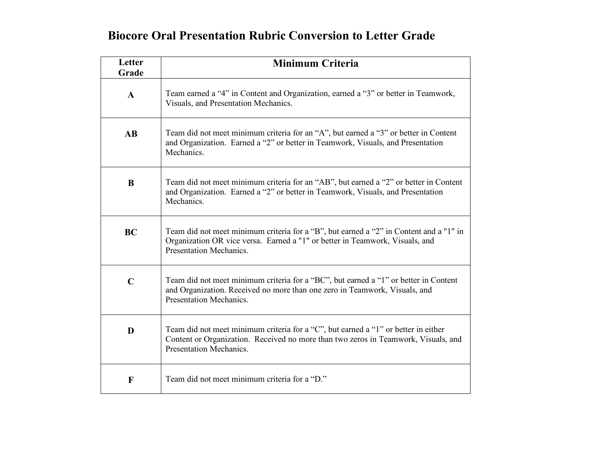#### **Biocore Oral Presentation Rubric Conversion to Letter Grade**

| Letter<br>Grade        | <b>Minimum Criteria</b>                                                                                                                                                                                    |
|------------------------|------------------------------------------------------------------------------------------------------------------------------------------------------------------------------------------------------------|
| $\mathbf{A}$           | Team earned a "4" in Content and Organization, earned a "3" or better in Teamwork,<br>Visuals, and Presentation Mechanics.                                                                                 |
| $\mathbf{A}\mathbf{B}$ | Team did not meet minimum criteria for an "A", but earned a "3" or better in Content<br>and Organization. Earned a "2" or better in Teamwork, Visuals, and Presentation<br>Mechanics.                      |
| B                      | Team did not meet minimum criteria for an "AB", but earned a "2" or better in Content<br>and Organization. Earned a "2" or better in Teamwork, Visuals, and Presentation<br>Mechanics.                     |
| <b>BC</b>              | Team did not meet minimum criteria for a "B", but earned a "2" in Content and a "1" in<br>Organization OR vice versa. Earned a "1" or better in Teamwork, Visuals, and<br>Presentation Mechanics.          |
| $\mathbf C$            | Team did not meet minimum criteria for a "BC", but earned a "1" or better in Content<br>and Organization. Received no more than one zero in Teamwork, Visuals, and<br><b>Presentation Mechanics.</b>       |
| D                      | Team did not meet minimum criteria for a "C", but earned a "1" or better in either<br>Content or Organization. Received no more than two zeros in Teamwork, Visuals, and<br><b>Presentation Mechanics.</b> |
| F                      | Team did not meet minimum criteria for a "D."                                                                                                                                                              |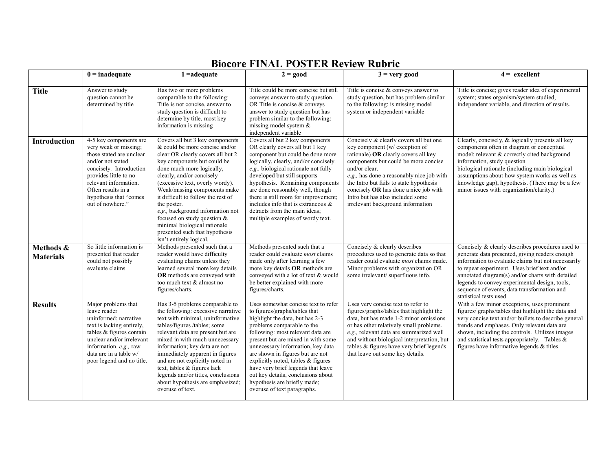|                               | $0 =$ inadequate                                                                                                                                                                                                                                  | $1 = adequate$                                                                                                                                                                                                                                                                                                                                                                                                                                                                            | $2 = good$                                                                                                                                                                                                                                                                                                                                                                                                                                                                 | $3 =$ very good                                                                                                                                                                                                                                                                                                                                                                     | $4 =$ excellent                                                                                                                                                                                                                                                                                                                                                                         |
|-------------------------------|---------------------------------------------------------------------------------------------------------------------------------------------------------------------------------------------------------------------------------------------------|-------------------------------------------------------------------------------------------------------------------------------------------------------------------------------------------------------------------------------------------------------------------------------------------------------------------------------------------------------------------------------------------------------------------------------------------------------------------------------------------|----------------------------------------------------------------------------------------------------------------------------------------------------------------------------------------------------------------------------------------------------------------------------------------------------------------------------------------------------------------------------------------------------------------------------------------------------------------------------|-------------------------------------------------------------------------------------------------------------------------------------------------------------------------------------------------------------------------------------------------------------------------------------------------------------------------------------------------------------------------------------|-----------------------------------------------------------------------------------------------------------------------------------------------------------------------------------------------------------------------------------------------------------------------------------------------------------------------------------------------------------------------------------------|
| <b>Title</b>                  | Answer to study<br>question cannot be<br>determined by title                                                                                                                                                                                      | Has two or more problems<br>comparable to the following:<br>Title is not concise, answer to<br>study question is difficult to<br>determine by title, most key<br>information is missing                                                                                                                                                                                                                                                                                                   | Title could be more concise but still<br>conveys answer to study question.<br>OR Title is concise & conveys<br>answer to study question but has<br>problem similar to the following:<br>missing model system $\&$<br>independent variable                                                                                                                                                                                                                                  | Title is concise $&$ conveys answer to<br>study question, but has problem similar<br>to the following: is missing model<br>system or independent variable                                                                                                                                                                                                                           | Title is concise; gives reader idea of experimental<br>system; states organism/system studied,<br>independent variable, and direction of results.                                                                                                                                                                                                                                       |
| <b>Introduction</b>           | 4-5 key components are<br>very weak or missing;<br>those stated are unclear<br>and/or not stated<br>concisely. Introduction<br>provides little to no<br>relevant information.<br>Often results in a<br>hypothesis that "comes<br>out of nowhere." | Covers all but 3 key components<br>& could be more concise and/or<br>clear OR clearly covers all but 2<br>key components but could be<br>done much more logically,<br>clearly, and/or concisely<br>(excessive text, overly wordy).<br>Weak/missing components make<br>it difficult to follow the rest of<br>the poster.<br>e.g., background information not<br>focused on study question $&$<br>minimal biological rationale<br>presented such that hypothesis<br>isn't entirely logical. | Covers all but 2 key components<br>OR clearly covers all but 1 key<br>component but could be done more<br>logically, clearly, and/or concisely.<br>e.g., biological rationale not fully<br>developed but still supports<br>hypothesis. Remaining components<br>are done reasonably well, though<br>there is still room for improvement;<br>includes info that is extraneous $\&$<br>detracts from the main ideas;<br>multiple examples of wordy text.                      | Concisely & clearly covers all but one<br>key component (w/ exception of<br>rationale) OR clearly covers all key<br>components but could be more concise<br>and/or clear.<br>e.g., has done a reasonably nice job with<br>the Intro but fails to state hypothesis<br>concisely OR has done a nice job with<br>Intro but has also included some<br>irrelevant background information | Clearly, concisely, & logically presents all key<br>components often in diagram or conceptual<br>model: relevant & correctly cited background<br>information, study question<br>biological rationale (including main biological<br>assumptions about how system works as well as<br>knowledge gap), hypothesis. (There may be a few<br>minor issues with organization/clarity.)         |
| Methods &<br><b>Materials</b> | So little information is<br>presented that reader<br>could not possibly<br>evaluate claims                                                                                                                                                        | Methods presented such that a<br>reader would have difficulty<br>evaluating claims unless they<br>learned several more key details<br>OR methods are conveyed with<br>too much text & almost no<br>figures/charts.                                                                                                                                                                                                                                                                        | Methods presented such that a<br>reader could evaluate <i>most</i> claims<br>made only after learning a few<br>more key details OR methods are<br>conveyed with a lot of text & would<br>be better explained with more<br>figures/charts.                                                                                                                                                                                                                                  | Concisely & clearly describes<br>procedures used to generate data so that<br>reader could evaluate most claims made.<br>Minor problems with organization OR<br>some irrelevant/superfluous info.                                                                                                                                                                                    | Concisely & clearly describes procedures used to<br>generate data presented, giving readers enough<br>information to evaluate claims but not necessarily<br>to repeat experiment. Uses brief text and/or<br>annotated diagram(s) and/or charts with detailed<br>legends to convey experimental design, tools,<br>sequence of events, data transformation and<br>statistical tests used. |
| <b>Results</b>                | Major problems that<br>leave reader<br>uninformed; narrative<br>text is lacking entirely,<br>tables & figures contain<br>unclear and/or irrelevant<br>information. e.g., raw<br>data are in a table w/<br>poor legend and no title.               | Has 3-5 problems comparable to<br>the following: excessive narrative<br>text with minimal, uninformative<br>tables/figures /tables; some<br>relevant data are present but are<br>mixed in with much unnecessary<br>information; key data are not<br>immediately apparent in figures<br>and are not explicitly noted in<br>text, tables & figures lack<br>legends and/or titles, conclusions<br>about hypothesis are emphasized;<br>overuse of text.                                       | Uses somewhat concise text to refer<br>to figures/graphs/tables that<br>highlight the data, but has 2-3<br>problems comparable to the<br>following: most relevant data are<br>present but are mixed in with some<br>unnecessary information, key data<br>are shown in figures but are not<br>explicitly noted, tables & figures<br>have very brief legends that leave<br>out key details, conclusions about<br>hypothesis are briefly made;<br>overuse of text paragraphs. | Uses very concise text to refer to<br>figures/graphs/tables that highlight the<br>data, but has made 1-2 minor omissions<br>or has other relatively small problems.<br>e.g., relevant data are summarized well<br>and without biological interpretation, but<br>tables & figures have very brief legends<br>that leave out some key details.                                        | With a few minor exceptions, uses prominent<br>figures/ graphs/tables that highlight the data and<br>very concise text and/or bullets to describe general<br>trends and emphases. Only relevant data are<br>shown, including the controls. Utilizes images<br>and statistical tests appropriately. Tables $\&$<br>figures have informative legends $&$ titles.                          |

#### **Biocore FINAL POSTER Review Rubric**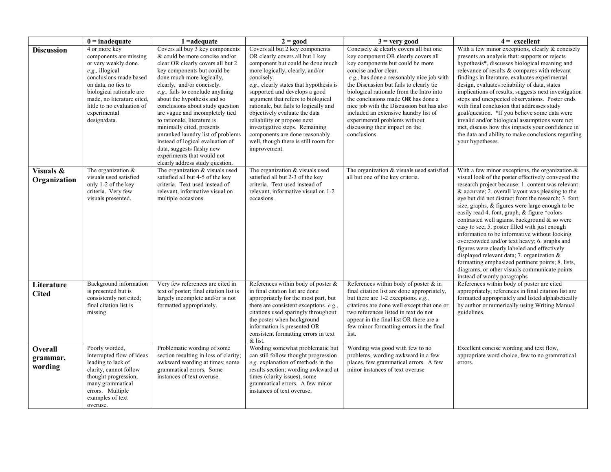|                                       | $0 =$ inadequate                                                                                                                                                                                                                                            | $1 = adequate$                                                                                                                                                                                                                                                                                                                                                                                                                                                                                                                                                                | $2 = good$                                                                                                                                                                                                                                                                                                                                                                                                                                                                                                     | $3 =$ very good                                                                                                                                                                                                                                                                                                                                                                                                                                                                               | $4 =$ excellent                                                                                                                                                                                                                                                                                                                                                                                                                                                                                                                                                                                                                                                                                                                                                                                                       |
|---------------------------------------|-------------------------------------------------------------------------------------------------------------------------------------------------------------------------------------------------------------------------------------------------------------|-------------------------------------------------------------------------------------------------------------------------------------------------------------------------------------------------------------------------------------------------------------------------------------------------------------------------------------------------------------------------------------------------------------------------------------------------------------------------------------------------------------------------------------------------------------------------------|----------------------------------------------------------------------------------------------------------------------------------------------------------------------------------------------------------------------------------------------------------------------------------------------------------------------------------------------------------------------------------------------------------------------------------------------------------------------------------------------------------------|-----------------------------------------------------------------------------------------------------------------------------------------------------------------------------------------------------------------------------------------------------------------------------------------------------------------------------------------------------------------------------------------------------------------------------------------------------------------------------------------------|-----------------------------------------------------------------------------------------------------------------------------------------------------------------------------------------------------------------------------------------------------------------------------------------------------------------------------------------------------------------------------------------------------------------------------------------------------------------------------------------------------------------------------------------------------------------------------------------------------------------------------------------------------------------------------------------------------------------------------------------------------------------------------------------------------------------------|
| <b>Discussion</b>                     | 4 or more key<br>components are missing<br>or very weakly done.<br>e.g., illogical<br>conclusions made based<br>on data, no ties to<br>biological rationale are<br>made, no literature cited,<br>little to no evaluation of<br>experimental<br>design/data. | Covers all buy 3 key components<br>& could be more concise and/or<br>clear OR clearly covers all but 2<br>key components but could be<br>done much more logically,<br>clearly, and/or concisely.<br>e.g., fails to conclude anything<br>about the hypothesis and so<br>conclusions about study question<br>are vague and incompletely tied<br>to rationale, literature is<br>minimally cited, presents<br>unranked laundry list of problems<br>instead of logical evaluation of<br>data, suggests flashy new<br>experiments that would not<br>clearly address study question. | Covers all but 2 key components<br>OR clearly covers all but 1 key<br>component but could be done much<br>more logically, clearly, and/or<br>concisely.<br>e.g., clearly states that hypothesis is<br>supported and develops a good<br>argument that refers to biological<br>rationale, but fails to logically and<br>objectively evaluate the data<br>reliability or propose next<br>investigative steps. Remaining<br>components are done reasonably<br>well, though there is still room for<br>improvement. | Concisely & clearly covers all but one<br>key component OR clearly covers all<br>key components but could be more<br>concise and/or clear.<br>e.g., has done a reasonably nice job with<br>the Discussion but fails to clearly tie<br>biological rationale from the Intro into<br>the conclusions made OR has done a<br>nice job with the Discussion but has also<br>included an extensive laundry list of<br>experimental problems without<br>discussing their impact on the<br>conclusions. | With a few minor exceptions, clearly & concisely<br>presents an analysis that: supports or rejects<br>hypothesis*, discusses biological meaning and<br>relevance of results & compares with relevant<br>findings in literature, evaluates experimental<br>design, evaluates reliability of data, states<br>implications of results, suggests next investigation<br>steps and unexpected observations. Poster ends<br>with final conclusion that addresses study<br>goal/question. *If you believe some data were<br>invalid and/or biological assumptions were not<br>met, discuss how this impacts your confidence in<br>the data and ability to make conclusions regarding<br>your hypotheses.                                                                                                                      |
| Visuals &<br>Organization             | The organization $\&$<br>visuals used satisfied<br>only 1-2 of the key<br>criteria. Very few<br>visuals presented.                                                                                                                                          | The organization & visuals used<br>satisfied all but 4-5 of the key<br>criteria. Text used instead of<br>relevant, informative visual on<br>multiple occasions.                                                                                                                                                                                                                                                                                                                                                                                                               | The organization & visuals used<br>satisfied all but 2-3 of the key<br>criteria. Text used instead of<br>relevant, informative visual on 1-2<br>occasions.                                                                                                                                                                                                                                                                                                                                                     | The organization & visuals used satisfied<br>all but one of the key criteria.                                                                                                                                                                                                                                                                                                                                                                                                                 | With a few minor exceptions, the organization $\&$<br>visual look of the poster effectively conveyed the<br>research project because: 1. content was relevant<br>& accurate; 2. overall layout was pleasing to the<br>eye but did not distract from the research; 3. font<br>size, graphs, & figures were large enough to be<br>easily read 4. font, graph, & figure *colors<br>contrasted well against background & so were<br>easy to see; 5. poster filled with just enough<br>information to be informative without looking<br>overcrowded and/or text heavy; 6. graphs and<br>figures were clearly labeled and effectively<br>displayed relevant data; 7. organization $\&$<br>formatting emphasized pertinent points; 8. lists,<br>diagrams, or other visuals communicate points<br>instead of wordy paragraphs |
| Literature<br><b>Cited</b>            | Background information<br>is presented but is<br>consistently not cited;<br>final citation list is<br>missing                                                                                                                                               | Very few references are cited in<br>text of poster; final citation list is<br>largely incomplete and/or is not<br>formatted appropriately.                                                                                                                                                                                                                                                                                                                                                                                                                                    | References within body of poster $\&$<br>in final citation list are done<br>appropriately for the most part, but<br>there are consistent exceptions. e.g.,<br>citations used sparingly throughout<br>the poster when background<br>information is presented OR<br>consistent formatting errors in text<br>& list.                                                                                                                                                                                              | References within body of poster & in<br>final citation list are done appropriately,<br>but there are 1-2 exceptions. e.g.,<br>citations are done well except that one or<br>two references listed in text do not<br>appear in the final list OR there are a<br>few minor formatting errors in the final<br>list.                                                                                                                                                                             | References within body of poster are cited<br>appropriately; references in final citation list are<br>formatted appropriately and listed alphabetically<br>by author or numerically using Writing Manual<br>guidelines.                                                                                                                                                                                                                                                                                                                                                                                                                                                                                                                                                                                               |
| <b>Overall</b><br>grammar,<br>wording | Poorly worded.<br>interrupted flow of ideas<br>leading to lack of<br>clarity, cannot follow<br>thought progression,<br>many grammatical<br>errors. Multiple<br>examples of text<br>overuse.                                                                 | Problematic wording of some<br>section resulting in loss of clarity;<br>awkward wording at times; some<br>grammatical errors. Some<br>instances of text overuse.                                                                                                                                                                                                                                                                                                                                                                                                              | Wording somewhat problematic but<br>can still follow thought progression<br>e.g. explanation of methods in the<br>results section; wording awkward at<br>times (clarity issues), some<br>grammatical errors. A few minor<br>instances of text overuse.                                                                                                                                                                                                                                                         | Wording was good with few to no<br>problems, wording awkward in a few<br>places, few grammatical errors. A few<br>minor instances of text overuse                                                                                                                                                                                                                                                                                                                                             | Excellent concise wording and text flow,<br>appropriate word choice, few to no grammatical<br>errors.                                                                                                                                                                                                                                                                                                                                                                                                                                                                                                                                                                                                                                                                                                                 |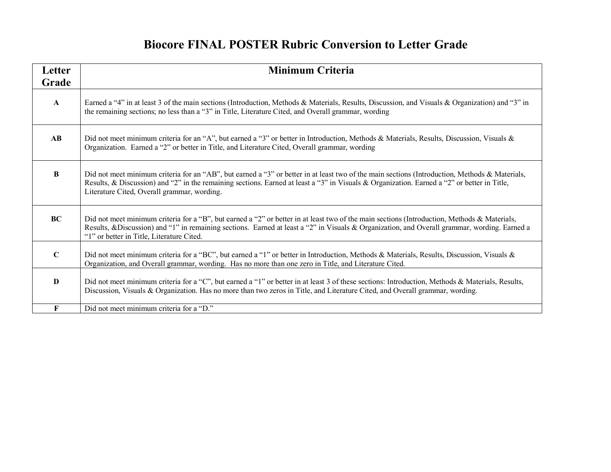### **Biocore FINAL POSTER Rubric Conversion to Letter Grade**

| Letter                 | <b>Minimum Criteria</b>                                                                                                                                                                                                                                                                                                                      |
|------------------------|----------------------------------------------------------------------------------------------------------------------------------------------------------------------------------------------------------------------------------------------------------------------------------------------------------------------------------------------|
| Grade                  |                                                                                                                                                                                                                                                                                                                                              |
| $\mathbf{A}$           | Earned a "4" in at least 3 of the main sections (Introduction, Methods & Materials, Results, Discussion, and Visuals & Organization) and "3" in<br>the remaining sections; no less than a "3" in Title, Literature Cited, and Overall grammar, wording                                                                                       |
| $\mathbf{A}\mathbf{B}$ | Did not meet minimum criteria for an "A", but earned a "3" or better in Introduction, Methods & Materials, Results, Discussion, Visuals &<br>Organization. Earned a "2" or better in Title, and Literature Cited, Overall grammar, wording                                                                                                   |
| B                      | Did not meet minimum criteria for an "AB", but earned a "3" or better in at least two of the main sections (Introduction, Methods & Materials,<br>Results, & Discussion) and "2" in the remaining sections. Earned at least a "3" in Visuals & Organization. Earned a "2" or better in Title,<br>Literature Cited, Overall grammar, wording. |
| <b>BC</b>              | Did not meet minimum criteria for a "B", but earned a "2" or better in at least two of the main sections (Introduction, Methods & Materials,<br>Results, &Discussion) and "1" in remaining sections. Earned at least a "2" in Visuals & Organization, and Overall grammar, wording. Earned a<br>"1" or better in Title, Literature Cited.    |
| $\mathbf C$            | Did not meet minimum criteria for a "BC", but earned a "1" or better in Introduction, Methods & Materials, Results, Discussion, Visuals &<br>Organization, and Overall grammar, wording. Has no more than one zero in Title, and Literature Cited.                                                                                           |
| D                      | Did not meet minimum criteria for a "C", but earned a "1" or better in at least 3 of these sections: Introduction, Methods & Materials, Results,<br>Discussion, Visuals & Organization. Has no more than two zeros in Title, and Literature Cited, and Overall grammar, wording.                                                             |
| F                      | Did not meet minimum criteria for a "D."                                                                                                                                                                                                                                                                                                     |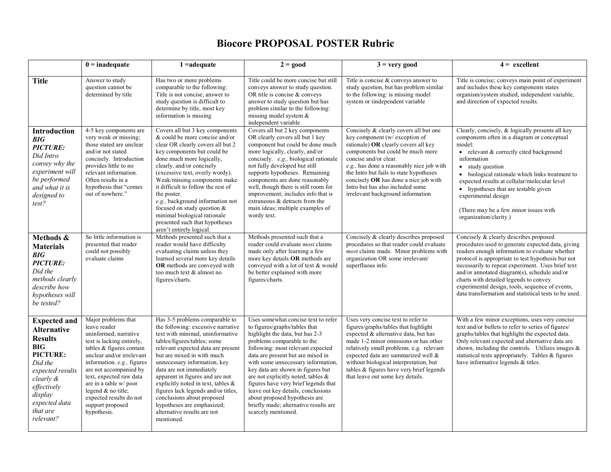|                                                                                                                                                                                                       | $0 =$ inadequate                                                                                                                                                                                                                                                                                                                                         | $1 = adequate$                                                                                                                                                                                                                                                                                                                                                                                                                                                                                      | $2 = good$                                                                                                                                                                                                                                                                                                                                                                                                                                                                                                      | $3 =$ very good                                                                                                                                                                                                                                                                                                                                                                          | $4 = \text{excellent}$                                                                                                                                                                                                                                                                                                                                                                                                                                         |
|-------------------------------------------------------------------------------------------------------------------------------------------------------------------------------------------------------|----------------------------------------------------------------------------------------------------------------------------------------------------------------------------------------------------------------------------------------------------------------------------------------------------------------------------------------------------------|-----------------------------------------------------------------------------------------------------------------------------------------------------------------------------------------------------------------------------------------------------------------------------------------------------------------------------------------------------------------------------------------------------------------------------------------------------------------------------------------------------|-----------------------------------------------------------------------------------------------------------------------------------------------------------------------------------------------------------------------------------------------------------------------------------------------------------------------------------------------------------------------------------------------------------------------------------------------------------------------------------------------------------------|------------------------------------------------------------------------------------------------------------------------------------------------------------------------------------------------------------------------------------------------------------------------------------------------------------------------------------------------------------------------------------------|----------------------------------------------------------------------------------------------------------------------------------------------------------------------------------------------------------------------------------------------------------------------------------------------------------------------------------------------------------------------------------------------------------------------------------------------------------------|
| <b>Title</b>                                                                                                                                                                                          | Answer to study<br>question cannot be<br>determined by title                                                                                                                                                                                                                                                                                             | Has two or more problems<br>comparable to the following:<br>Title is not concise, answer to<br>study question is difficult to<br>determine by title, most key<br>information is missing                                                                                                                                                                                                                                                                                                             | Title could be more concise but still<br>conveys answer to study question.<br>OR title is concise & conveys<br>answer to study question but has<br>problem similar to the following:<br>missing model system $\&$<br>independent variable                                                                                                                                                                                                                                                                       | Title is concise $&$ conveys answer to<br>study question, but has problem similar<br>to the following: is missing model<br>system or iindependent variable                                                                                                                                                                                                                               | Title is concise; conveys main point of experiment<br>and includes these key components states<br>organism/system studied, independent variable,<br>and direction of expected results.                                                                                                                                                                                                                                                                         |
| Introduction<br>BIG<br><b>PICTURE:</b><br>Did Intro<br>convey why the<br>experiment will<br>be performed<br>and what it is<br>designed to<br>test?                                                    | 4-5 key components are<br>very weak or missing;<br>those stated are unclear<br>and/or not stated<br>concisely. Introduction<br>provides little to no<br>relevant information.<br>Often results in a<br>hypothesis that "comes"<br>out of nowhere."                                                                                                       | Covers all but 3 key components<br>& could be more concise and/or<br>clear OR clearly covers all but 2<br>key components but could be<br>done much more logically,<br>clearly, and/or concisely<br>(excessive text, overly wordy).<br>Weak/missing components make<br>it difficult to follow the rest of<br>the poster.<br>e.g., background information not<br>focused on study question $\&$<br>minimal biological rationale<br>presented such that hypotheses<br>aren't entirely logical          | Covers all but 2 key components<br>OR clearly covers all but 1 key<br>component but could be done much<br>more logically, clearly, and/or<br>concisely. e.g., biological rationale<br>not fully developed but still<br>supports hypotheses. Remaining<br>components are done reasonably<br>well, though there is still room for<br>improvement; includes info that is<br>extraneous & detracts from the<br>main ideas; multiple examples of<br>wordy text.                                                      | Concisely & clearly covers all but one<br>key component (w/ exception of<br>rationale) OR clearly covers all key<br>components but could be much more<br>concise and/or clear.<br>e.g., has done a reasonably nice job with<br>the Intro but fails to state hypotheses<br>concisely OR has done a nice job with<br>Intro but has also included some<br>irrelevant background information | Clearly, concisely, & logically presents all key<br>components often in a diagram or conceptual<br>model:<br>• relevant $&$ correctly cited background<br>information<br>• study question<br>• biological rationale which links treatment to<br>expected results at cellular/molecular level<br>• hypotheses that are testable given<br>experimental design<br>(There may be a few minor issues with)<br>organization/clarity.)                                |
| Methods &<br><b>Materials</b><br>BIG<br><b>PICTURE:</b><br>Did the<br>methods clearly<br>describe how<br>hypotheses will<br>be tested?                                                                | So little information is<br>presented that reader<br>could not possibly<br>evaluate claims                                                                                                                                                                                                                                                               | Methods presented such that a<br>reader would have difficulty<br>evaluating claims unless they<br>learned several more key details<br>OR methods are conveyed with<br>too much text & almost no<br>figures/charts.                                                                                                                                                                                                                                                                                  | Methods presented such that a<br>reader could evaluate <i>most</i> claims<br>made only after learning a few<br>more key details OR methods are<br>conveyed with a lot of text & would<br>be better explained with more<br>figures/charts.                                                                                                                                                                                                                                                                       | Concisely & clearly describes proposed<br>procedures so that reader could evaluate<br>most claims made. Minor problems with<br>organization OR some irrelevant/<br>superfluous info.                                                                                                                                                                                                     | Concisely & clearly describes proposed<br>procedures used to generate expected data, giving<br>readers enough information to evaluate whether<br>protocol is appropriate to test hypothesis but not<br>necessarily to repeat experiment. Uses brief text<br>and/or annotated diagram(s), schedule and/or<br>charts with detailed legends to convey<br>experimental design, tools, sequence of events,<br>data transformation and statistical tests to be used. |
| <b>Expected and</b><br><b>Alternative</b><br><b>Results</b><br><b>BIG</b><br>PICTURE:<br>Did the<br>expected results<br>clearly &<br>effectively<br>display<br>expected data<br>that are<br>relevant? | Major problems that<br>leave reader<br>uninformed; narrative<br>text is lacking entirely,<br>tables $\&$ figures contain<br>unclear and/or irrelevant<br>information. e.g., figures<br>are not accompanied by<br>text, expected raw data<br>are in a table w/poor<br>legend $\&$ no title;<br>expected results do not<br>support proposed<br>hypothesis. | Has 3-5 problems comparable to<br>the following: excessive narrative<br>text with minimal, uninformative<br>tables/figures/tables; some<br>relevant expected data are present<br>but are mixed in with much<br>unnecessary information, key<br>data are not immediately<br>apparent in figures and are not<br>explicitly noted in text, tables $\&$<br>figures lack legends and/or titles,<br>conclusions about proposed<br>hypotheses are emphasized;<br>alternative results are not<br>mentioned. | Uses somewhat concise text to refer<br>to figures/graphs/tables that<br>highlight the data, but has 2-3<br>problems comparable to the<br>following: most relevant expected<br>data are present but are mixed in<br>with some unnecessary information,<br>key data are shown in figures but<br>are not explicitly noted, tables &<br>figures have very brief legends that<br>leave out key details, conclusions<br>about proposed hypothesis are<br>briefly made; alternative results are<br>scarcely mentioned. | Uses very concise text to refer to<br>figures/graphs/tables that highlight<br>expected & alternative data, but has<br>made 1-2 minor omissions or has other<br>relatively small problems. e.g. relevant<br>expected data are summarized well &<br>without biological interpretation, but<br>tables & figures have very brief legends<br>that leave out some key details.                 | With a few minor exceptions, uses very concise<br>text and/or bullets to refer to series of figures/<br>graphs/tables that highlight the expected data.<br>Only relevant expected and alternative data are<br>shown, including the controls. Utilizes images $\&$<br>statistical tests appropriately. Tables & figures<br>have informative legends & titles.                                                                                                   |

#### **Biocore PROPOSAL POSTER Rubric**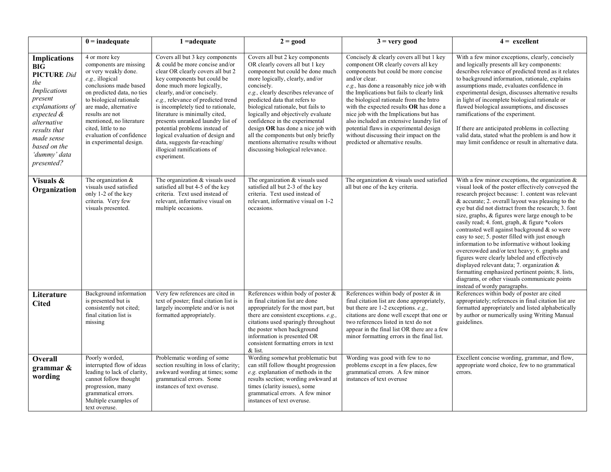|                                                                                                                                                                                                                                               | $0 =$ inadequate                                                                                                                                                                                                                                                                                                            | $1 = adequate$                                                                                                                                                                                                                                                                                                                                                                                                                                                                                          | $\overline{2}$ = good                                                                                                                                                                                                                                                                                                                                                                                                                                                                                   | $3 = very good$                                                                                                                                                                                                                                                                                                                                                                                                                                                                                                                            | $4 = \text{excellent}$                                                                                                                                                                                                                                                                                                                                                                                                                                                                                                                                                                                                                                                                                                                                                                                                    |
|-----------------------------------------------------------------------------------------------------------------------------------------------------------------------------------------------------------------------------------------------|-----------------------------------------------------------------------------------------------------------------------------------------------------------------------------------------------------------------------------------------------------------------------------------------------------------------------------|---------------------------------------------------------------------------------------------------------------------------------------------------------------------------------------------------------------------------------------------------------------------------------------------------------------------------------------------------------------------------------------------------------------------------------------------------------------------------------------------------------|---------------------------------------------------------------------------------------------------------------------------------------------------------------------------------------------------------------------------------------------------------------------------------------------------------------------------------------------------------------------------------------------------------------------------------------------------------------------------------------------------------|--------------------------------------------------------------------------------------------------------------------------------------------------------------------------------------------------------------------------------------------------------------------------------------------------------------------------------------------------------------------------------------------------------------------------------------------------------------------------------------------------------------------------------------------|---------------------------------------------------------------------------------------------------------------------------------------------------------------------------------------------------------------------------------------------------------------------------------------------------------------------------------------------------------------------------------------------------------------------------------------------------------------------------------------------------------------------------------------------------------------------------------------------------------------------------------------------------------------------------------------------------------------------------------------------------------------------------------------------------------------------------|
| <b>Implications</b><br>$B\overline{I}\overline{G}$<br><b>PICTURE</b> Did<br>the<br><b>Implications</b><br>present<br>explanations of<br>expected &<br>alternative<br>results that<br>made sense<br>based on the<br>'dummy' data<br>presented? | 4 or more key<br>components are missing<br>or very weakly done.<br>e.g., illogical<br>conclusions made based<br>on predicted data, no ties<br>to biological rationale<br>are made, alternative<br>results are not<br>mentioned, no literature<br>cited, little to no<br>evaluation of confidence<br>in experimental design. | Covers all but 3 key components<br>$&$ could be more concise and/or<br>clear OR clearly covers all but 2<br>key components but could be<br>done much more logically,<br>clearly, and/or concisely.<br>e.g., relevance of predicted trend<br>is incompletely tied to rationale,<br>literature is minimally cited,<br>presents unranked laundry list of<br>potential problems instead of<br>logical evaluation of design and<br>data, suggests far-reaching/<br>illogical ramifications of<br>experiment. | Covers all but 2 key components<br>OR clearly covers all but 1 key<br>component but could be done much<br>more logically, clearly, and/or<br>concisely.<br>e.g., clearly describes relevance of<br>predicted data that refers to<br>biological rationale, but fails to<br>logically and objectively evaluate<br>confidence in the experimental<br>design OR has done a nice job with<br>all the components but only briefly<br>mentions alternative results without<br>discussing biological relevance. | Concisely & clearly covers all but 1 key<br>component OR clearly covers all key<br>components but could be more concise<br>and/or clear.<br>e.g., has done a reasonably nice job with<br>the Implications but fails to clearly link<br>the biological rationale from the Intro<br>with the expected results OR has done a<br>nice job with the Implications but has<br>also included an extensive laundry list of<br>potential flaws in experimental design<br>without discussing their impact on the<br>predicted or alternative results. | With a few minor exceptions, clearly, concisely<br>and logically presents all key components:<br>describes relevance of predicted trend as it relates<br>to background information, rationale, explains<br>assumptions made, evaluates confidence in<br>experimental design, discusses alternative results<br>in light of incomplete biological rationale or<br>flawed biological assumptions, and discusses<br>ramifications of the experiment.<br>If there are anticipated problems in collecting<br>valid data, stated what the problem is and how it<br>may limit confidence or result in alternative data.                                                                                                                                                                                                           |
| Visuals &<br>Organization                                                                                                                                                                                                                     | The organization $&$<br>visuals used satisfied<br>only 1-2 of the key<br>criteria. Very few<br>visuals presented.                                                                                                                                                                                                           | The organization & visuals used<br>satisfied all but 4-5 of the key<br>criteria. Text used instead of<br>relevant, informative visual on<br>multiple occasions.                                                                                                                                                                                                                                                                                                                                         | The organization & visuals used<br>satisfied all but 2-3 of the key<br>criteria. Text used instead of<br>relevant, informative visual on 1-2<br>occasions.                                                                                                                                                                                                                                                                                                                                              | The organization & visuals used satisfied<br>all but one of the key criteria.                                                                                                                                                                                                                                                                                                                                                                                                                                                              | With a few minor exceptions, the organization $\&$<br>visual look of the poster effectively conveyed the<br>research project because: 1. content was relevant<br>$&$ accurate; 2. overall layout was pleasing to the<br>eye but did not distract from the research; 3. font<br>size, graphs, & figures were large enough to be<br>easily read; 4. font, graph, & figure *colors<br>contrasted well against background & so were<br>easy to see; 5. poster filled with just enough<br>information to be informative without looking<br>overcrowded and/or text heavy; 6. graphs and<br>figures were clearly labeled and effectively<br>displayed relevant data; 7. organization $\&$<br>formatting emphasized pertinent points; 8. lists,<br>diagrams, or other visuals communicate points<br>instead of wordy paragraphs. |
| Literature<br><b>Cited</b>                                                                                                                                                                                                                    | Background information<br>is presented but is<br>consistently not cited;<br>final citation list is<br>missing                                                                                                                                                                                                               | Very few references are cited in<br>text of poster; final citation list is<br>largely incomplete and/or is not<br>formatted appropriately.                                                                                                                                                                                                                                                                                                                                                              | References within body of poster $\&$<br>in final citation list are done<br>appropriately for the most part, but<br>there are consistent exceptions. e.g.,<br>citations used sparingly throughout<br>the poster when background<br>information is presented OR<br>consistent formatting errors in text<br>& list.                                                                                                                                                                                       | References within body of poster & in<br>final citation list are done appropriately,<br>but there are 1-2 exceptions. e.g.,<br>citations are done well except that one or<br>two references listed in text do not<br>appear in the final list OR there are a few<br>minor formatting errors in the final list.                                                                                                                                                                                                                             | References within body of poster are cited<br>appropriately; references in final citation list are<br>formatted appropriately and listed alphabetically<br>by author or numerically using Writing Manual<br>guidelines.                                                                                                                                                                                                                                                                                                                                                                                                                                                                                                                                                                                                   |
| Overall<br>grammar $\&$<br>wording                                                                                                                                                                                                            | Poorly worded,<br>interrupted flow of ideas<br>leading to lack of clarity,<br>cannot follow thought<br>progression, many<br>grammatical errors.<br>Multiple examples of<br>text overuse.                                                                                                                                    | Problematic wording of some<br>section resulting in loss of clarity;<br>awkward wording at times; some<br>grammatical errors. Some<br>instances of text overuse.                                                                                                                                                                                                                                                                                                                                        | Wording somewhat problematic but<br>can still follow thought progression<br>e.g. explanation of methods in the<br>results section; wording awkward at<br>times (clarity issues), some<br>grammatical errors. A few minor<br>instances of text overuse.                                                                                                                                                                                                                                                  | Wording was good with few to no<br>problems except in a few places, few<br>grammatical errors. A few minor<br>instances of text overuse                                                                                                                                                                                                                                                                                                                                                                                                    | Excellent concise wording, grammar, and flow,<br>appropriate word choice, few to no grammatical<br>errors.                                                                                                                                                                                                                                                                                                                                                                                                                                                                                                                                                                                                                                                                                                                |